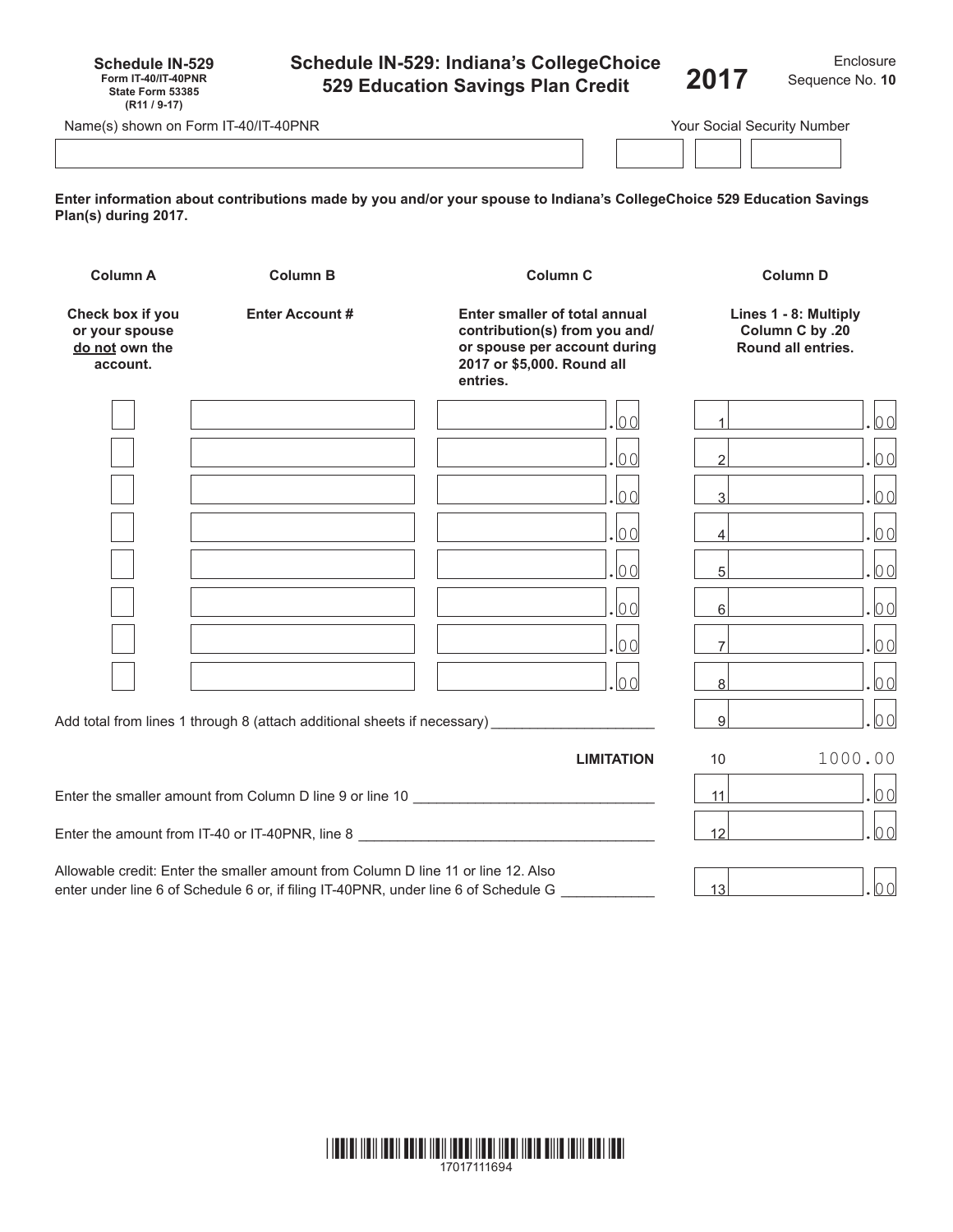| <b>Schedule IN-529</b>     |  |
|----------------------------|--|
| <b>Form IT-40/IT-40PNR</b> |  |
| State Form 53385           |  |
| (R <sub>11</sub> / 9-17)   |  |

# **Schedule IN-529: Indiana's CollegeChoice 529 Education Savings Plan Credit**

|                 | Enclosure |  |
|-----------------|-----------|--|
| Sequence No. 10 |           |  |

**2017** Sequence No.**<sup>10</sup>**

| Name(s) shown on Form IT-40/IT-40PNR | Your Social Security Number |  |
|--------------------------------------|-----------------------------|--|
|                                      |                             |  |

**Enter information about contributions made by you and/or your spouse to Indiana's CollegeChoice 529 Education Savings Plan(s) during 2017.**

| <b>Column A</b>                                                  | <b>Column B</b>                                                                                                                                                    | <b>Column C</b>                                                                  |                                                                | <b>Column D</b> |
|------------------------------------------------------------------|--------------------------------------------------------------------------------------------------------------------------------------------------------------------|----------------------------------------------------------------------------------|----------------------------------------------------------------|-----------------|
| Check box if you<br>or your spouse<br>do not own the<br>account. | <b>Enter Account #</b><br>Enter smaller of total annual<br>contribution(s) from you and/<br>or spouse per account during<br>2017 or \$5,000. Round all<br>entries. |                                                                                  | Lines 1 - 8: Multiply<br>Column C by .20<br>Round all entries. |                 |
|                                                                  |                                                                                                                                                                    | 00                                                                               |                                                                | 0 <sub>0</sub>  |
|                                                                  |                                                                                                                                                                    | 00                                                                               | $\mathfrak{D}$                                                 | 00              |
|                                                                  |                                                                                                                                                                    | 00                                                                               | 3                                                              | 0 <sub>0</sub>  |
|                                                                  |                                                                                                                                                                    | 00                                                                               | 4                                                              | 00              |
|                                                                  |                                                                                                                                                                    | 00                                                                               | 5                                                              | 0 <sub>0</sub>  |
|                                                                  |                                                                                                                                                                    | 00                                                                               | $6 \mid$                                                       | 00              |
|                                                                  |                                                                                                                                                                    | $\log$                                                                           | $\overline{7}$                                                 | 0 <sub>0</sub>  |
|                                                                  |                                                                                                                                                                    | .lo ol                                                                           | 8 <sup>1</sup>                                                 | 00              |
|                                                                  | Add total from lines 1 through 8 (attach additional sheets if necessary)                                                                                           |                                                                                  | $\overline{9}$                                                 | 00              |
|                                                                  |                                                                                                                                                                    | <b>LIMITATION</b>                                                                | 10                                                             | 1000.00         |
|                                                                  |                                                                                                                                                                    | Enter the smaller amount from Column D line 9 or line 10 _______________________ | 11                                                             | 00              |
|                                                                  |                                                                                                                                                                    | Enter the amount from IT-40 or IT-40PNR, line 8 ________________________________ | 12                                                             | 00              |
|                                                                  | Allowable credit: Enter the smaller amount from Column D line 11 or line 12 Also                                                                                   |                                                                                  |                                                                |                 |

Allowable credit: Enter the smaller amount from Column D line 11 or line 12. Also enter under line 6 of Schedule 6 or, if filing IT-40PNR, under line 6 of Schedule G \_\_\_\_\_\_\_\_\_\_\_\_\_\_\_\_ 13 .00